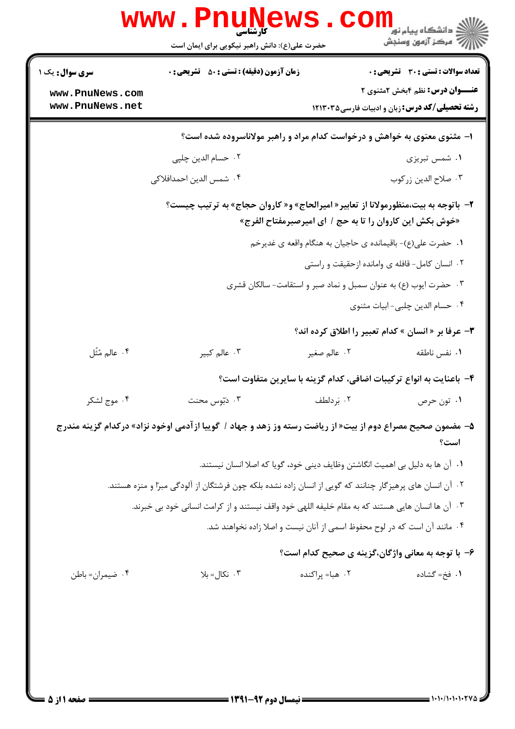| <b>سری سوال :</b> یک ۱ | <b>زمان آزمون (دقیقه) : تستی : 50 ٪ تشریحی : 0</b>                                                        |                 | <b>تعداد سوالات : تستی : 30 ٪ تشریحی : 0</b>                        |
|------------------------|-----------------------------------------------------------------------------------------------------------|-----------------|---------------------------------------------------------------------|
| www.PnuNews.com        |                                                                                                           |                 | <b>عنـــوان درس:</b> نظم ۴بخش ۲مثنوی ۲                              |
| www.PnuNews.net        |                                                                                                           |                 | <b>رشته تحصیلی/کد درس:</b> زبان و ادبیات فارسی۱۲۱۳۰۳۵               |
|                        | ۱– مثنوی معنوی به خواهش و درخواست کدام مراد و راهبر مولاناسروده شده است؟                                  |                 |                                                                     |
|                        | ۰۲ حسام الدین چلپی                                                                                        |                 | ۰۱ شمس تبریزی                                                       |
|                        | ۰۴ شمس الدين احمدافلاك <i>ى</i>                                                                           |                 | ۰۳ صلاح الدين زركوب                                                 |
|                        | ۲- باتوجه به بیت،منظورمولانا از تعابیر« امیرالحاج» و« کاروان حجاج» به ترتیب چیست؟                         |                 | «خوش بكش اين كاروان را تا به حج / اي اميرصبرمفتاح الفرج»            |
|                        |                                                                                                           |                 | ۰۱ حضرت علی(ع)- باقیمانده ی حاجیان به هنگام واقعه ی غدیرخم          |
|                        |                                                                                                           |                 | ۰۲ انسان کامل- قافله ی وامانده ازحقیقت و راستی                      |
|                        |                                                                                                           |                 | ۰۳ حضرت ایوب (ع) به عنوان سمبل و نماد صبر و استقامت- سالکان قشری    |
|                        |                                                                                                           |                 | ۰۴ حسام الدین چلبی- ابیات مثنوی                                     |
|                        |                                                                                                           |                 | <b>۳</b> - عرفا بر « انسان » کدام تعبیر را اطلاق کرده اند؟          |
| ۴. عالم مُثَل          | ۰۳ عالم کبير                                                                                              | ۰۲ عالم صغير    | ۰۱ نفس ناطقه                                                        |
|                        |                                                                                                           |                 | ۴– باعنایت به انواع ترکیبات اضافی، کدام گزینه با سایرین متفاوت است؟ |
| ۰۴ موج لشکر            | ۰۳ دبوس محنت                                                                                              | ۰۲ بَردلطف      | ۰۱ تون حرص                                                          |
|                        | ۵– مضمون صحیح مصراع دوم از بیت« از ریاضت رسته وز زهد و جهاد / گوییا ازآدمی اوخود نزاد» درکدام گزینه مندرج |                 | است؟                                                                |
|                        | ٠١. آن ها به دليل بي اهميت انگاشتن وظايف ديني خود، گويا كه اصلا انسان نيستند.                             |                 |                                                                     |
|                        | ۰۲ آن انسان های پرهیزگار چنانند که گویی از انسان زاده نشده بلکه چون فرشتگان از آلودگی مبرّا و منزه هستند. |                 |                                                                     |
|                        | ۰۳ آن ها انسان هایی هستند که به مقام خلیفه اللهی خود واقف نیستند و از کرامت انسانی خود بی خبرند.          |                 |                                                                     |
|                        | ۰۴ مانند آن است که در لوح محفوظ اسمی از آنان نیست و اصلا زاده نخواهند شد.                                 |                 |                                                                     |
|                        |                                                                                                           |                 | ۶– با توجه به معانی واژگان،گزینه ی صحیح کدام است؟                   |
| ۰۴ ضیمران= باطن        | ۰۳ نکال=بلا                                                                                               | ۰۲ هبا= پراکنده | ۰۱ فخ= گشاده                                                        |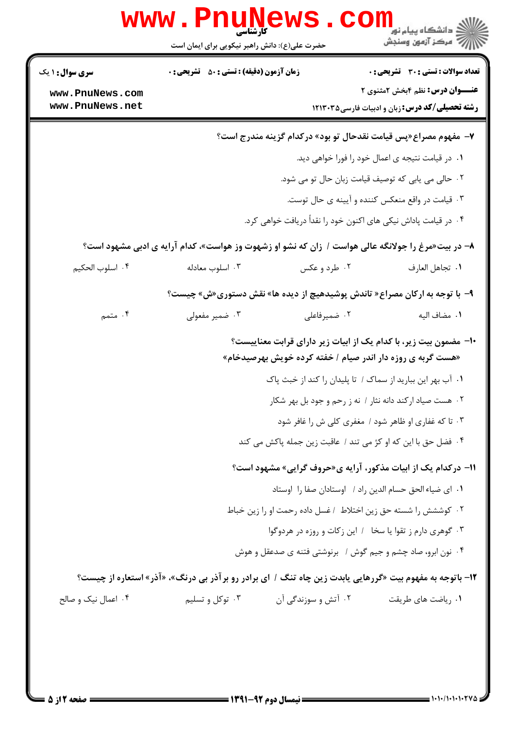| <b>سری سوال : ۱ یک</b>             | <b>زمان آزمون (دقیقه) : تستی : 50 ٪ تشریحی : 0</b>                                                      |                     | تعداد سوالات : تستى : 30 - تشريحي : 0                                                           |  |
|------------------------------------|---------------------------------------------------------------------------------------------------------|---------------------|-------------------------------------------------------------------------------------------------|--|
| www.PnuNews.com<br>www.PnuNews.net |                                                                                                         |                     | <b>عنـــوان درس:</b> نظم ۴بخش ۲مثنوی ۲<br><b>رشته تحصیلی/کد درس:</b> زبان و ادبیات فارسی۱۲۱۳۰۳۵ |  |
|                                    |                                                                                                         |                     | ۷- مفهوم مصراع«پس قیامت نقدحال تو بود» درکدام گزینه مندرج است؟                                  |  |
|                                    |                                                                                                         |                     | ٠١ در قيامت نتيجه ي اعمال خود را فورا خواهي ديد.                                                |  |
|                                    | ٠٢ حالي مي يابي كه توصيف قيامت زبان حال تو مي شود.                                                      |                     |                                                                                                 |  |
|                                    |                                                                                                         |                     | ۰۳ قیامت در واقع منعکس کننده و آیینه ی حال توست.                                                |  |
|                                    |                                                                                                         |                     | ۰۴ در قیامت پاداش نیکی های اکنون خود را نقداً دریافت خواهی کرد.                                 |  |
|                                    | ۸– در بیت«مرغ را جولانگه عالی هواست / زان که نشو او زشهوت وز هواست»، کدام آرایه ی ادبی مشهود است؟       |                     |                                                                                                 |  |
| ۰۴ اسلوب الحكيم                    | ۰۳ اسلوب معادله                                                                                         | ۰۲ طرد و عکس        | ٠١ تجاهل العارف                                                                                 |  |
|                                    | ۹- با توجه به ارکان مصراع« تاندش پوشیدهیچ از دیده ها» نقش دستوری«ش» چیست؟                               |                     |                                                                                                 |  |
| ۰۴ متمم                            | ۰۳ ضمیر مفعولی                                                                                          | ۰۲ ضمیرفاعلی        | ٠١. مضاف اليه                                                                                   |  |
|                                    |                                                                                                         |                     | ∙ا− مضمون بیت زیر، با کدام یک از ابیات زیر دارای قرابت معناییست؟                                |  |
|                                    |                                                                                                         |                     | «هست گربه ی روزه دار اندر صیام / خفته کرده خویش بهرصیدخام»                                      |  |
|                                    |                                                                                                         |                     | ۰۱ آب بهر این ببارید از سماک / تا پلیدان را کند از خبث پاک                                      |  |
|                                    |                                                                                                         |                     | ۰۲ هست صیاد ارکند دانه نثار / نه ز رحم و جود بل بهر شکار                                        |  |
|                                    |                                                                                                         |                     | ۰۳ تا که غفاری او ظاهر شود / مغفری کلی ش را غافر شود                                            |  |
|                                    |                                                                                                         |                     | ۰۴ فضل حق با این که او کژ می تند / عاقبت زین جمله پاکش می کند                                   |  |
|                                    |                                                                                                         |                     | 11- درکدام یک از ابیات مذکور، آرایه ی«حروف گرایی» مشهود است؟                                    |  |
|                                    |                                                                                                         |                     | ٠١ اي ضياء الحق حسام الدين راد / اوستادان صفا را اوستاد                                         |  |
|                                    |                                                                                                         |                     | ٠٢ كوششش را شسته حق زين اختلاط ١غسل داده رحمت او را زين خباط                                    |  |
|                                    |                                                                                                         |                     | ۰۳ گوهری دارم ز تقوا یا سخا / این زكات و روزه در هردوگوا                                        |  |
|                                    |                                                                                                         |                     | ۰۴ نون ابرو، صاد چشم و جیم گوش / برنوشتی فتنه ی صدعقل و هوش                                     |  |
|                                    | ۱۲- باتوجه به مفهوم بیت «گررهایی یابدت زین چاه تنگ / ای برادر رو برآذر بی درنگ»، «آذر» استعاره از چیست؟ |                     |                                                                                                 |  |
| ۰۴ اعمال نیک و صالح                | ۰۳ توکل و تسلیم                                                                                         | ۰۲ آتش و سوزندگی آن | ۰۱ ریاضت های طریقت                                                                              |  |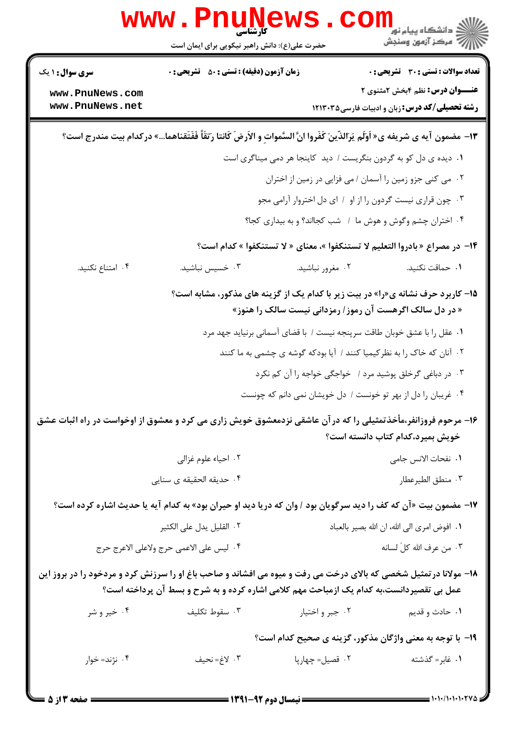| <b>WWW.</b>                                                                                                      | کارشناسی<br>حضرت علی(ع): دانش راهبر نیکویی برای ایمان است |                                                                                                                                             | د دانشگاه پيام نور<br>ا∛ مرکز آزمون وسنجش                                                       |
|------------------------------------------------------------------------------------------------------------------|-----------------------------------------------------------|---------------------------------------------------------------------------------------------------------------------------------------------|-------------------------------------------------------------------------------------------------|
| <b>سری سوال :</b> ۱ یک                                                                                           | <b>زمان آزمون (دقیقه) : تستی : 50 ٪ تشریحی : 0</b>        |                                                                                                                                             | <b>تعداد سوالات : تستی : 30 ٪ تشریحی : 0</b>                                                    |
| www.PnuNews.com<br>www.PnuNews.net                                                                               |                                                           |                                                                                                                                             | <b>عنـــوان درس:</b> نظم ۴بخش ۲مثنوی ۲<br><b>رشته تحصیلی/کد درس:</b> زبان و ادبیات فارسی۱۲۱۳۰۳۵ |
|                                                                                                                  |                                                           | 13- مضمون آيه ي شريفه ي« اَوَلَم يَرَالذّينَ كَفَروا انَّ السَّمواتِ و الأرضَ كَانتا رَتقاً فَفَتَقناهما» دركدام بيت مندرج است؟             |                                                                                                 |
|                                                                                                                  |                                                           | ١. دیده ی دل کو به گردون بنگریست / دید کاینجا هر دمی میناگری است                                                                            |                                                                                                 |
|                                                                                                                  |                                                           | ۰۲ می کنی جزو زمین را آسمان / می فزایی در زمین از اختران                                                                                    |                                                                                                 |
|                                                                                                                  |                                                           | ۰۳ چون قراری نیست گردون را از او ۱ ای دل اختروار آرامی مجو                                                                                  |                                                                                                 |
|                                                                                                                  |                                                           | ۰۴ اختران چشم وگوش و هوش ما ۱ شب کجااند؟ و به بیداری کجا؟                                                                                   |                                                                                                 |
|                                                                                                                  |                                                           | ۱۴- در مصراع « بادروا التعليم لا تستنكفوا »، معناى « لا تستنكفوا » كدام است؟                                                                |                                                                                                 |
| ۰۴ امتناع نکنید.                                                                                                 | ۰۳ خسیس نباشید.                                           | ۰۲ مغرور نباشید.                                                                                                                            | ٠١. حماقت نكنيد.                                                                                |
|                                                                                                                  |                                                           | ۱۵- کاربرد حرف نشانه ی«را» در بیت زیر با کدام یک از گزینه های مذکور، مشابه است؟<br>« در دل سالک اگرهست آن رموز / رمزدانی نیست سالک را هنوز» |                                                                                                 |
|                                                                                                                  |                                                           | ۰۱ عقل را با عشق خوبان طاقت سرپنجه نیست / با قضای آسمانی برنیاید جهد مرد                                                                    |                                                                                                 |
|                                                                                                                  |                                                           | ۲.  آنان که خاک را به نظرکیمیا کنند /  آیا بودکه گوشه ی چشمی به ما کنند                                                                     |                                                                                                 |
|                                                                                                                  |                                                           | ۰۳ در دباغی گرخلق پوشید مرد / خواجگی خواجه را آن کم نکرد                                                                                    |                                                                                                 |
|                                                                                                                  |                                                           | ۰۴ غریبان را دل از بهر تو خونست / دل خویشان نمی دانم که چونست                                                                               |                                                                                                 |
| ۱۶– مرحوم فروزانفر،مأخذتمثیلی را که در آن عاشقی نزدمعشوق خویش زاری می کرد و معشوق از اوخواست در راه اثبات عشق    |                                                           |                                                                                                                                             | خويش بميرد،كدام كتاب دانسته است؟                                                                |
|                                                                                                                  | ۰۲ احیاء علوم غزالی                                       |                                                                                                                                             | ٠١. نفحات الانس جامي                                                                            |
|                                                                                                                  | ۰۴ حديقه الحقيقه ی سنايی                                  |                                                                                                                                             | ۰۳ منطق الطيرعطار                                                                               |
|                                                                                                                  |                                                           | ۱۷- مضمون بیت «آن که کف را دید سرگویان بود / وان که دریا دید او حیران بود» به کدام آیه یا حدیث اشاره کرده است؟                              |                                                                                                 |
|                                                                                                                  | ٠٢ القليل يدل على الكثير                                  |                                                                                                                                             | ٠١ افوض امرى الى الله، ان الله بصير بالعباد                                                     |
|                                                                                                                  | ۴. ليس على الاعمى حرج ولاعلى الاعرج حرج                   |                                                                                                                                             | ٠٣ من عرف الله كلِّ لسانه                                                                       |
| ۱۸- مولانا درتمثیل شخصی که بالای درخت می رفت و میوه می افشاند و صاحب باغ او را سرزنش کرد و مردخود را در بروز این |                                                           | عمل بی تقصیردانست،به کدام یک ازمباحث مهم کلامی اشاره کرده و به شرح و بسط آن پرداخته است؟                                                    |                                                                                                 |
| ۰۴ خیر و شر                                                                                                      | ۰۳ سقوط تكليف                                             | ۰۲ جبر و اختیار                                                                                                                             | <b>۱</b> . حادث و قديم                                                                          |
|                                                                                                                  |                                                           | 1۹– با توجه به معنی واژگان مذکور، گزینه ی صحیح کدام است؟                                                                                    |                                                                                                 |
| ۰۴ نژند= خوار                                                                                                    | ۰۳ لاغ= نحيف                                              | ۰۲ قصیل= چهارپا                                                                                                                             | ۰۱ غابر = گذشته                                                                                 |
| = صفحه <b>3 از 5</b> =                                                                                           |                                                           |                                                                                                                                             |                                                                                                 |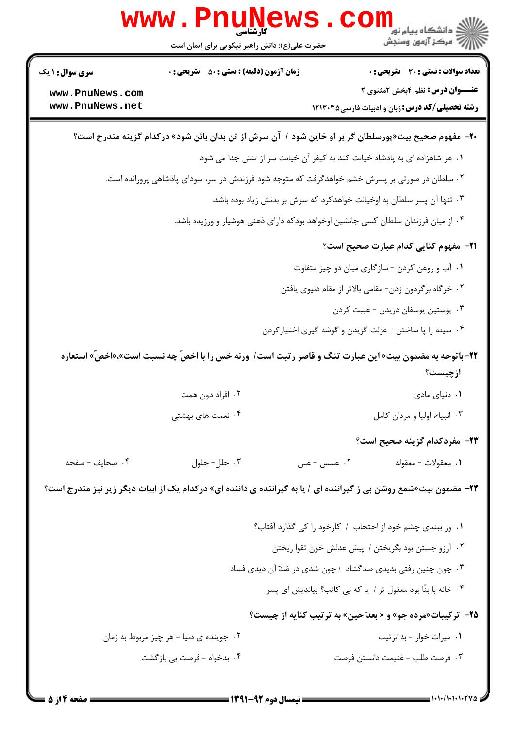|                        | <b>www.Pnune</b><br>حضرت علی(ع): دانش راهبر نیکویی برای ایمان است | د دانشکاه پيام نور <mark>∐</mark><br>(> مرکز آزمون وسنڊش                                                                 |
|------------------------|-------------------------------------------------------------------|--------------------------------------------------------------------------------------------------------------------------|
| <b>سری سوال :</b> ۱ یک | <b>زمان آزمون (دقیقه) : تستی : 50 ٪ تشریحی : 0</b>                | <b>تعداد سوالات : تستی : 30 ٪ تشریحی : 0</b>                                                                             |
| www.PnuNews.com        |                                                                   | <b>عنـــوان درس:</b> نظم ۴بخش ۲مثنوی ۲                                                                                   |
| www.PnuNews.net        |                                                                   | <b>رشته تحصیلی/کد درس:</b> زبان و ادبیات فارسی1۲۱۳۰۳۵                                                                    |
|                        |                                                                   | +۲-  مفهوم صحیح بیت«پورسلطان گر بر او خاین شود /  آن سرش از تن بدان بائن شود» درکدام گزینه مندرج است؟                    |
|                        |                                                                   | ٠١ هر شاهزاده اى به پادشاه خيانت كند به كيفر آن خيانت سر از تنش جدا مى شود.                                              |
|                        |                                                                   | ۰۲ سلطان در صورتی بر پسرش خشم خواهدگرفت که متوجه شود فرزندش در سر، سودای پادشاهی پرورانده است.                           |
|                        |                                                                   | ۰۳ تنها آن پسر سلطان به اوخیانت خواهدکرد که سرش بر بدنش زیاد بوده باشد.                                                  |
|                        |                                                                   | ۰۴ از میان فرزندان سلطان کسی جانشین اوخواهد بودکه دارای ذهنی هوشیار و ورزیده باشد.                                       |
|                        |                                                                   | <b>٢١</b> - مفهوم كنايي كدام عبارت صحيح است؟                                                                             |
|                        |                                                                   | ۰۱ آب و روغن کردن = سازگاری میان دو چیز متفاوت                                                                           |
|                        |                                                                   | ۰۲ خرگاه برگردون زدن= مقامی بالاتر از مقام دنیوی یافتن                                                                   |
|                        |                                                                   | ۰۳ پوستین یوسفان دریدن = غیبت کردن                                                                                       |
|                        |                                                                   | ۰۴ سینه را پا ساختن = عزلت گزیدن و گوشه گیری اختیارکردن                                                                  |
|                        |                                                                   | <b>۲۲</b> -باتوجه به مضمون بیت« این عبارت تنگ و قاصر رتبت است/ ورنه خس را با اخصّ چه نسبت است»،«اخصّ» استعاره<br>ازچیست؟ |
|                        | ۰۲ افراد دون همت                                                  | ۰۱ دنیای مادی                                                                                                            |
|                        | ۰۴ نعمت های بهشتی                                                 | ۰۳ انبياء، اوليا و مردان كامل                                                                                            |
|                        |                                                                   | ٢٣- مفردكدام گزينه صحيح است؟                                                                                             |
| ۰۴ صحایف = صفحه        | ۰۳ حلل= حلول                                                      | ۰۲ عسس = عس<br>٠١ معقولات = معقوله                                                                                       |
|                        |                                                                   | <b>۲۴</b> - مضمون بیت«شمع روشن بی ز گیراننده ای / یا به گیراننده ی داننده ای» درکدام یک از ابیات دیگر زیر نیز مندرج است؟ |
|                        |                                                                   | ٠١. ور ببندي چشم خود از احتجاب / كارخود را كي گذارد آفتاب؟                                                               |
|                        |                                                                   | ٠٢ آرزو جستن بود بگريختن / پيش عدلش خون تقوا ريختن                                                                       |
|                        |                                                                   | ۰۳ چون چنین رفتی بدیدی صدگشاد ۱چون شدی در ضدّ آن دیدی فساد                                                               |
|                        |                                                                   | ۰۴ خانه با بنّا بود معقول تر / یا که بی کاتب؟ بیاندیش ای پسر                                                             |
|                        |                                                                   | ۲۵- ترکیبات«مرده جو» و « بعدَ حین» به ترتیب کنایه از چیست؟                                                               |
|                        | ۰۲ جوینده ی دنیا - هر چیز مربوط به زمان                           | ۰۱ میراث خوار - به ترتیب                                                                                                 |
|                        | ۰۴ بدخواه - فرصت بی بازگشت                                        | ۰۳ فرصت طلب – غنيمت دانستن فرصت                                                                                          |
|                        |                                                                   |                                                                                                                          |

**DESIMATE**